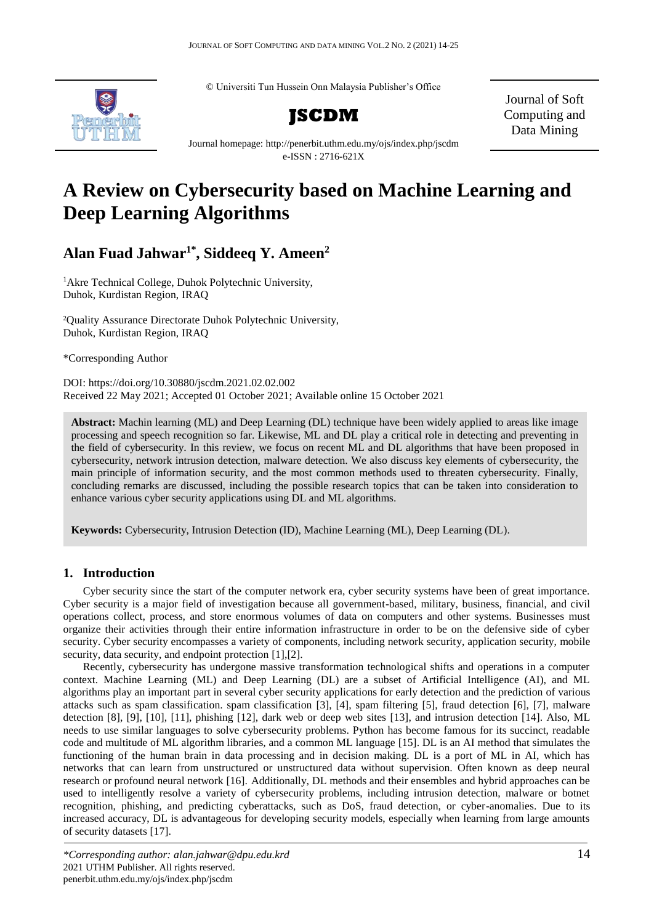© Universiti Tun Hussein Onn Malaysia Publisher's Office



**JSCDM**

Journal of Soft Computing and Data Mining

Journal homepage: http://penerbit.uthm.edu.my/ojs/index.php/jscdm e-ISSN : 2716-621X

# **A Review on Cybersecurity based on Machine Learning and Deep Learning Algorithms**

**Alan Fuad Jahwar1\* , Siddeeq Y. Ameen<sup>2</sup>**

<sup>1</sup>Akre Technical College, Duhok Polytechnic University, Duhok, Kurdistan Region, IRAQ

<sup>2</sup>Quality Assurance Directorate Duhok Polytechnic University, Duhok, Kurdistan Region, IRAQ

\*Corresponding Author

DOI: https://doi.org/10.30880/jscdm.2021.02.02.002 Received 22 May 2021; Accepted 01 October 2021; Available online 15 October 2021

**Abstract:** Machin learning (ML) and Deep Learning (DL) technique have been widely applied to areas like image processing and speech recognition so far. Likewise, ML and DL play a critical role in detecting and preventing in the field of cybersecurity. In this review, we focus on recent ML and DL algorithms that have been proposed in cybersecurity, network intrusion detection, malware detection. We also discuss key elements of cybersecurity, the main principle of information security, and the most common methods used to threaten cybersecurity. Finally, concluding remarks are discussed, including the possible research topics that can be taken into consideration to enhance various cyber security applications using DL and ML algorithms.

**Keywords:** Cybersecurity, Intrusion Detection (ID), Machine Learning (ML), Deep Learning (DL).

# **1. Introduction**

Cyber security since the start of the computer network era, cyber security systems have been of great importance. Cyber security is a major field of investigation because all government-based, military, business, financial, and civil operations collect, process, and store enormous volumes of data on computers and other systems. Businesses must organize their activities through their entire information infrastructure in order to be on the defensive side of cyber security. Cyber security encompasses a variety of components, including network security, application security, mobile security, data security, and endpoint protection [1], [2].

Recently, cybersecurity has undergone massive transformation technological shifts and operations in a computer context. Machine Learning (ML) and Deep Learning (DL) are a subset of Artificial Intelligence (AI), and ML algorithms play an important part in several cyber security applications for early detection and the prediction of various attacks such as spam classification. spam classification [3], [4], spam filtering [5], fraud detection [6], [7], malware detection [8], [9], [10], [11], phishing [12], dark web or deep web sites [13], and intrusion detection [14]. Also, ML needs to use similar languages to solve cybersecurity problems. Python has become famous for its succinct, readable code and multitude of ML algorithm libraries, and a common ML language [15]. DL is an AI method that simulates the functioning of the human brain in data processing and in decision making. DL is a port of ML in AI, which has networks that can learn from unstructured or unstructured data without supervision. Often known as deep neural research or profound neural network [16]. Additionally, DL methods and their ensembles and hybrid approaches can be used to intelligently resolve a variety of cybersecurity problems, including intrusion detection, malware or botnet recognition, phishing, and predicting cyberattacks, such as DoS, fraud detection, or cyber-anomalies. Due to its increased accuracy, DL is advantageous for developing security models, especially when learning from large amounts of security datasets [17].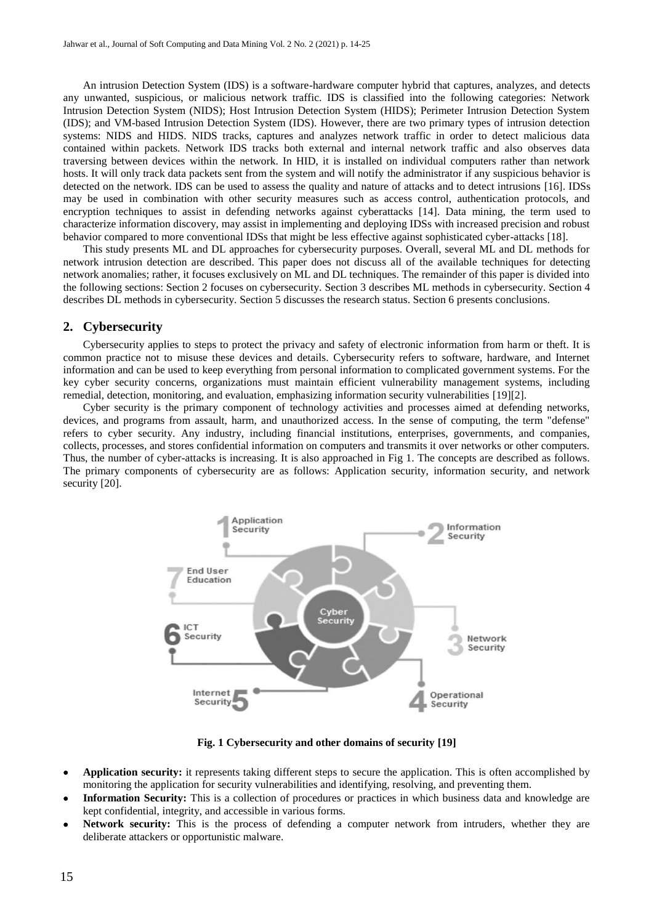An intrusion Detection System (IDS) is a software-hardware computer hybrid that captures, analyzes, and detects any unwanted, suspicious, or malicious network traffic. IDS is classified into the following categories: Network Intrusion Detection System (NIDS); Host Intrusion Detection System (HIDS); Perimeter Intrusion Detection System (IDS); and VM-based Intrusion Detection System (IDS). However, there are two primary types of intrusion detection systems: NIDS and HIDS. NIDS tracks, captures and analyzes network traffic in order to detect malicious data contained within packets. Network IDS tracks both external and internal network traffic and also observes data traversing between devices within the network. In HID, it is installed on individual computers rather than network hosts. It will only track data packets sent from the system and will notify the administrator if any suspicious behavior is detected on the network. IDS can be used to assess the quality and nature of attacks and to detect intrusions [16]. IDSs may be used in combination with other security measures such as access control, authentication protocols, and encryption techniques to assist in defending networks against cyberattacks [14]. Data mining, the term used to characterize information discovery, may assist in implementing and deploying IDSs with increased precision and robust behavior compared to more conventional IDSs that might be less effective against sophisticated cyber-attacks [18].

This study presents ML and DL approaches for cybersecurity purposes. Overall, several ML and DL methods for network intrusion detection are described. This paper does not discuss all of the available techniques for detecting network anomalies; rather, it focuses exclusively on ML and DL techniques. The remainder of this paper is divided into the following sections: Section 2 focuses on cybersecurity. Section 3 describes ML methods in cybersecurity. Section 4 describes DL methods in cybersecurity. Section 5 discusses the research status. Section 6 presents conclusions.

# **2. Cybersecurity**

Cybersecurity applies to steps to protect the privacy and safety of electronic information from harm or theft. It is common practice not to misuse these devices and details. Cybersecurity refers to software, hardware, and Internet information and can be used to keep everything from personal information to complicated government systems. For the key cyber security concerns, organizations must maintain efficient vulnerability management systems, including remedial, detection, monitoring, and evaluation, emphasizing information security vulnerabilities [19][2].

Cyber security is the primary component of technology activities and processes aimed at defending networks, devices, and programs from assault, harm, and unauthorized access. In the sense of computing, the term "defense" refers to cyber security. Any industry, including financial institutions, enterprises, governments, and companies, collects, processes, and stores confidential information on computers and transmits it over networks or other computers. Thus, the number of cyber-attacks is increasing. It is also approached in Fig 1. The concepts are described as follows. The primary components of cybersecurity are as follows: Application security, information security, and network security [20].



**Fig. 1 Cybersecurity and other domains of security [19]**

- **Application security:** it represents taking different steps to secure the application. This is often accomplished by monitoring the application for security vulnerabilities and identifying, resolving, and preventing them.
- **Information Security:** This is a collection of procedures or practices in which business data and knowledge are kept confidential, integrity, and accessible in various forms.
- **Network security:** This is the process of defending a computer network from intruders, whether they are deliberate attackers or opportunistic malware.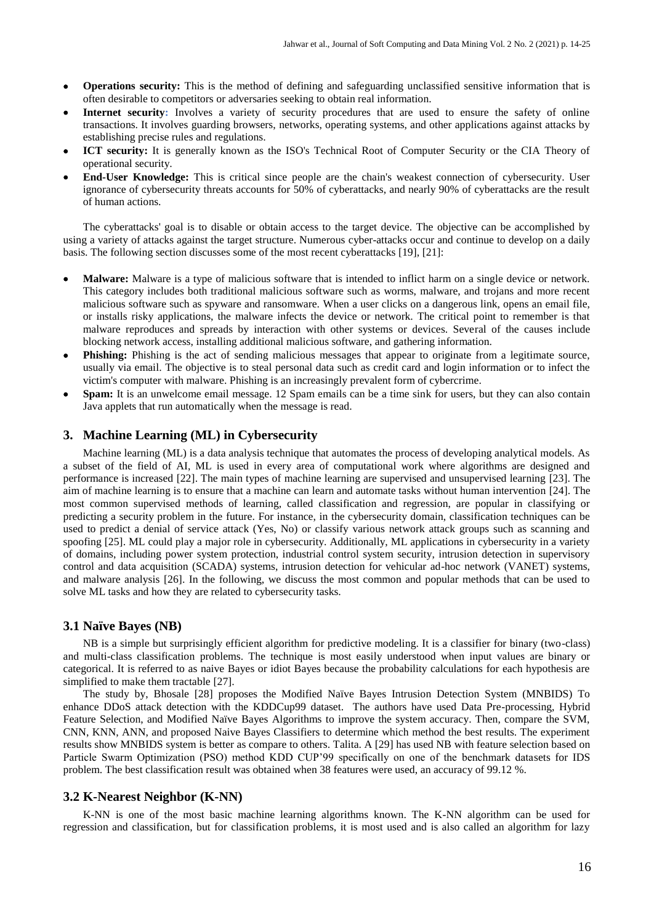- **Operations security:** This is the method of defining and safeguarding unclassified sensitive information that is often desirable to competitors or adversaries seeking to obtain real information.
- **Internet security:** Involves a variety of security procedures that are used to ensure the safety of online transactions. It involves guarding browsers, networks, operating systems, and other applications against attacks by establishing precise rules and regulations.
- **ICT security:** It is generally known as the ISO's Technical Root of Computer Security or the CIA Theory of operational security.
- **End-User Knowledge:** This is critical since people are the chain's weakest connection of cybersecurity. User ignorance of cybersecurity threats accounts for 50% of cyberattacks, and nearly 90% of cyberattacks are the result of human actions.

The cyberattacks' goal is to disable or obtain access to the target device. The objective can be accomplished by using a variety of attacks against the target structure. Numerous cyber-attacks occur and continue to develop on a daily basis. The following section discusses some of the most recent cyberattacks [19], [21]:

- **Malware:** Malware is a type of malicious software that is intended to inflict harm on a single device or network. This category includes both traditional malicious software such as worms, malware, and trojans and more recent malicious software such as spyware and ransomware. When a user clicks on a dangerous link, opens an email file, or installs risky applications, the malware infects the device or network. The critical point to remember is that malware reproduces and spreads by interaction with other systems or devices. Several of the causes include blocking network access, installing additional malicious software, and gathering information.
- **Phishing:** Phishing is the act of sending malicious messages that appear to originate from a legitimate source, usually via email. The objective is to steal personal data such as credit card and login information or to infect the victim's computer with malware. Phishing is an increasingly prevalent form of cybercrime.
- **Spam:** It is an unwelcome email message. 12 Spam emails can be a time sink for users, but they can also contain Java applets that run automatically when the message is read.

## **3. Machine Learning (ML) in Cybersecurity**

Machine learning (ML) is a data analysis technique that automates the process of developing analytical models. As a subset of the field of AI, ML is used in every area of computational work where algorithms are designed and performance is increased [22]. The main types of machine learning are supervised and unsupervised learning [23]. The aim of machine learning is to ensure that a machine can learn and automate tasks without human intervention [24]. The most common supervised methods of learning, called classification and regression, are popular in classifying or predicting a security problem in the future. For instance, in the cybersecurity domain, classification techniques can be used to predict a denial of service attack (Yes, No) or classify various network attack groups such as scanning and spoofing [25]. ML could play a major role in cybersecurity. Additionally, ML applications in cybersecurity in a variety of domains, including power system protection, industrial control system security, intrusion detection in supervisory control and data acquisition (SCADA) systems, intrusion detection for vehicular ad-hoc network (VANET) systems, and malware analysis [26]. In the following, we discuss the most common and popular methods that can be used to solve ML tasks and how they are related to cybersecurity tasks.

#### **3.1 Naïve Bayes (NB)**

NB is a simple but surprisingly efficient algorithm for predictive modeling. It is a classifier for binary (two-class) and multi-class classification problems. The technique is most easily understood when input values are binary or categorical. It is referred to as naive Bayes or idiot Bayes because the probability calculations for each hypothesis are simplified to make them tractable [27].

The study by, Bhosale [28] proposes the Modified Naïve Bayes Intrusion Detection System (MNBIDS) To enhance DDoS attack detection with the KDDCup99 dataset. The authors have used Data Pre-processing, Hybrid Feature Selection, and Modified Naïve Bayes Algorithms to improve the system accuracy. Then, compare the SVM, CNN, KNN, ANN, and proposed Naive Bayes Classifiers to determine which method the best results. The experiment results show MNBIDS system is better as compare to others. Talita. A [29] has used NB with feature selection based on Particle Swarm Optimization (PSO) method KDD CUP'99 specifically on one of the benchmark datasets for IDS problem. The best classification result was obtained when 38 features were used, an accuracy of 99.12 %.

## **3.2 K-Nearest Neighbor (K-NN)**

K-NN is one of the most basic machine learning algorithms known. The K-NN algorithm can be used for regression and classification, but for classification problems, it is most used and is also called an algorithm for lazy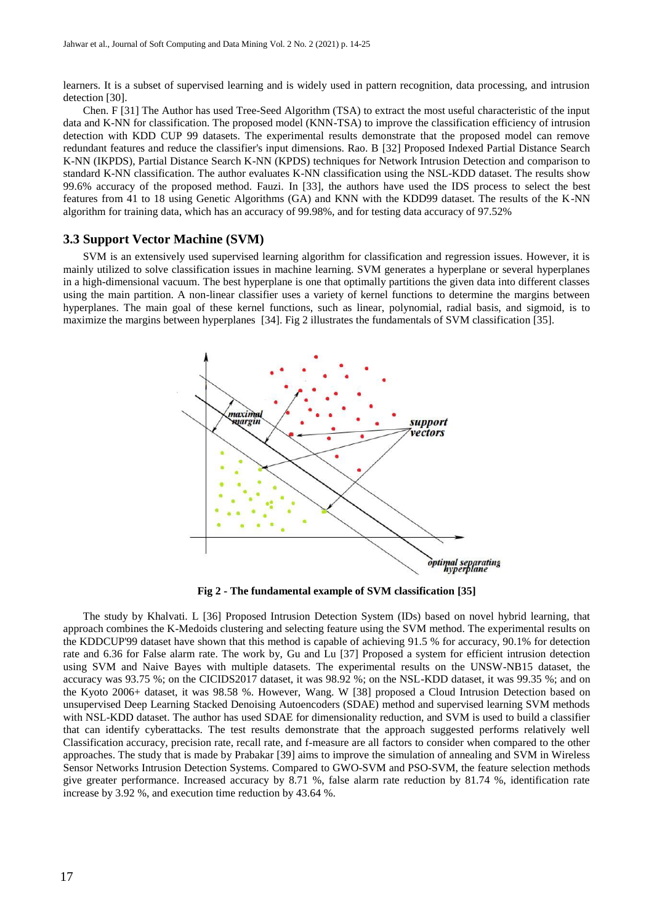learners. It is a subset of supervised learning and is widely used in pattern recognition, data processing, and intrusion detection [30].

Chen. F [31] The Author has used Tree-Seed Algorithm (TSA) to extract the most useful characteristic of the input data and K-NN for classification. The proposed model (KNN-TSA) to improve the classification efficiency of intrusion detection with KDD CUP 99 datasets. The experimental results demonstrate that the proposed model can remove redundant features and reduce the classifier's input dimensions. Rao. B [32] Proposed Indexed Partial Distance Search K-NN (IKPDS), Partial Distance Search K-NN (KPDS) techniques for Network Intrusion Detection and comparison to standard K-NN classification. The author evaluates K-NN classification using the NSL-KDD dataset. The results show 99.6% accuracy of the proposed method. Fauzi. In [33], the authors have used the IDS process to select the best features from 41 to 18 using Genetic Algorithms (GA) and KNN with the KDD99 dataset. The results of the K-NN algorithm for training data, which has an accuracy of 99.98%, and for testing data accuracy of 97.52%

## **3.3 Support Vector Machine (SVM)**

SVM is an extensively used supervised learning algorithm for classification and regression issues. However, it is mainly utilized to solve classification issues in machine learning. SVM generates a hyperplane or several hyperplanes in a high-dimensional vacuum. The best hyperplane is one that optimally partitions the given data into different classes using the main partition. A non-linear classifier uses a variety of kernel functions to determine the margins between hyperplanes. The main goal of these kernel functions, such as linear, polynomial, radial basis, and sigmoid, is to maximize the margins between hyperplanes [34]. Fig 2 illustrates the fundamentals of SVM classification [35].



**Fig 2 - The fundamental example of SVM classification [35]**

The study by Khalvati. L [36] Proposed Intrusion Detection System (IDs) based on novel hybrid learning, that approach combines the K-Medoids clustering and selecting feature using the SVM method. The experimental results on the KDDCUP'99 dataset have shown that this method is capable of achieving 91.5 % for accuracy, 90.1% for detection rate and 6.36 for False alarm rate. The work by, Gu and Lu [37] Proposed a system for efficient intrusion detection using SVM and Naive Bayes with multiple datasets. The experimental results on the UNSW-NB15 dataset, the accuracy was 93.75 %; on the CICIDS2017 dataset, it was 98.92 %; on the NSL-KDD dataset, it was 99.35 %; and on the Kyoto 2006+ dataset, it was 98.58 %. However, Wang. W [38] proposed a Cloud Intrusion Detection based on unsupervised Deep Learning Stacked Denoising Autoencoders (SDAE) method and supervised learning SVM methods with NSL-KDD dataset. The author has used SDAE for dimensionality reduction, and SVM is used to build a classifier that can identify cyberattacks. The test results demonstrate that the approach suggested performs relatively well Classification accuracy, precision rate, recall rate, and f-measure are all factors to consider when compared to the other approaches. The study that is made by Prabakar [39] aims to improve the simulation of annealing and SVM in Wireless Sensor Networks Intrusion Detection Systems. Compared to GWO-SVM and PSO-SVM, the feature selection methods give greater performance. Increased accuracy by 8.71 %, false alarm rate reduction by 81.74 %, identification rate increase by 3.92 %, and execution time reduction by 43.64 %.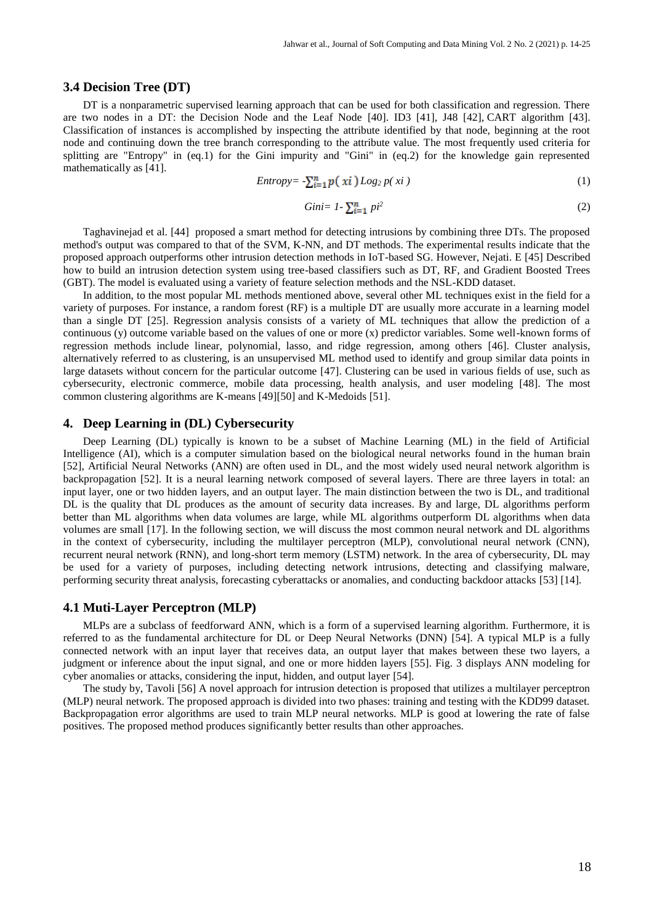#### **3.4 Decision Tree (DT)**

DT is a nonparametric supervised learning approach that can be used for both classification and regression. There are two nodes in a DT: the Decision Node and the Leaf Node [40]. ID3 [41], J48 [42], CART algorithm [43]. Classification of instances is accomplished by inspecting the attribute identified by that node, beginning at the root node and continuing down the tree branch corresponding to the attribute value. The most frequently used criteria for splitting are "Entropy" in (eq.1) for the Gini impurity and "Gini" in (eq.2) for the knowledge gain represented mathematically as [41].

$$
Entropy = \sum_{i=1}^{n} p(\xi x i) Log_2 p(\xi x i)
$$
 (1)

$$
Gini = 1 - \sum_{i=1}^{n} p i^2 \tag{2}
$$

Taghavinejad et al. [44] proposed a smart method for detecting intrusions by combining three DTs. The proposed method's output was compared to that of the SVM, K-NN, and DT methods. The experimental results indicate that the proposed approach outperforms other intrusion detection methods in IoT-based SG. However, Nejati. E [45] Described how to build an intrusion detection system using tree-based classifiers such as DT, RF, and Gradient Boosted Trees (GBT). The model is evaluated using a variety of feature selection methods and the NSL-KDD dataset.

In addition, to the most popular ML methods mentioned above, several other ML techniques exist in the field for a variety of purposes. For instance, a random forest (RF) is a multiple DT are usually more accurate in a learning model than a single DT [25]. Regression analysis consists of a variety of ML techniques that allow the prediction of a continuous (y) outcome variable based on the values of one or more (x) predictor variables. Some well-known forms of regression methods include linear, polynomial, lasso, and ridge regression, among others [46]. Cluster analysis, alternatively referred to as clustering, is an unsupervised ML method used to identify and group similar data points in large datasets without concern for the particular outcome [47]. Clustering can be used in various fields of use, such as cybersecurity, electronic commerce, mobile data processing, health analysis, and user modeling [48]. The most common clustering algorithms are K-means [49][50] and K-Medoids [51].

## **4. Deep Learning in (DL) Cybersecurity**

Deep Learning (DL) typically is known to be a subset of Machine Learning (ML) in the field of Artificial Intelligence (AI), which is a computer simulation based on the biological neural networks found in the human brain [52], Artificial Neural Networks (ANN) are often used in DL, and the most widely used neural network algorithm is backpropagation [52]. It is a neural learning network composed of several layers. There are three layers in total: an input layer, one or two hidden layers, and an output layer. The main distinction between the two is DL, and traditional DL is the quality that DL produces as the amount of security data increases. By and large, DL algorithms perform better than ML algorithms when data volumes are large, while ML algorithms outperform DL algorithms when data volumes are small [17]. In the following section, we will discuss the most common neural network and DL algorithms in the context of cybersecurity, including the multilayer perceptron (MLP), convolutional neural network (CNN), recurrent neural network (RNN), and long-short term memory (LSTM) network. In the area of cybersecurity, DL may be used for a variety of purposes, including detecting network intrusions, detecting and classifying malware, performing security threat analysis, forecasting cyberattacks or anomalies, and conducting backdoor attacks [53] [14].

# **4.1 Muti-Layer Perceptron (MLP)**

MLPs are a subclass of feedforward ANN, which is a form of a supervised learning algorithm. Furthermore, it is referred to as the fundamental architecture for DL or Deep Neural Networks (DNN) [54]. A typical MLP is a fully connected network with an input layer that receives data, an output layer that makes between these two layers, a judgment or inference about the input signal, and one or more hidden layers [55]. Fig. 3 displays ANN modeling for cyber anomalies or attacks, considering the input, hidden, and output layer [54].

The study by, Tavoli [56] A novel approach for intrusion detection is proposed that utilizes a multilayer perceptron (MLP) neural network. The proposed approach is divided into two phases: training and testing with the KDD99 dataset. Backpropagation error algorithms are used to train MLP neural networks. MLP is good at lowering the rate of false positives. The proposed method produces significantly better results than other approaches.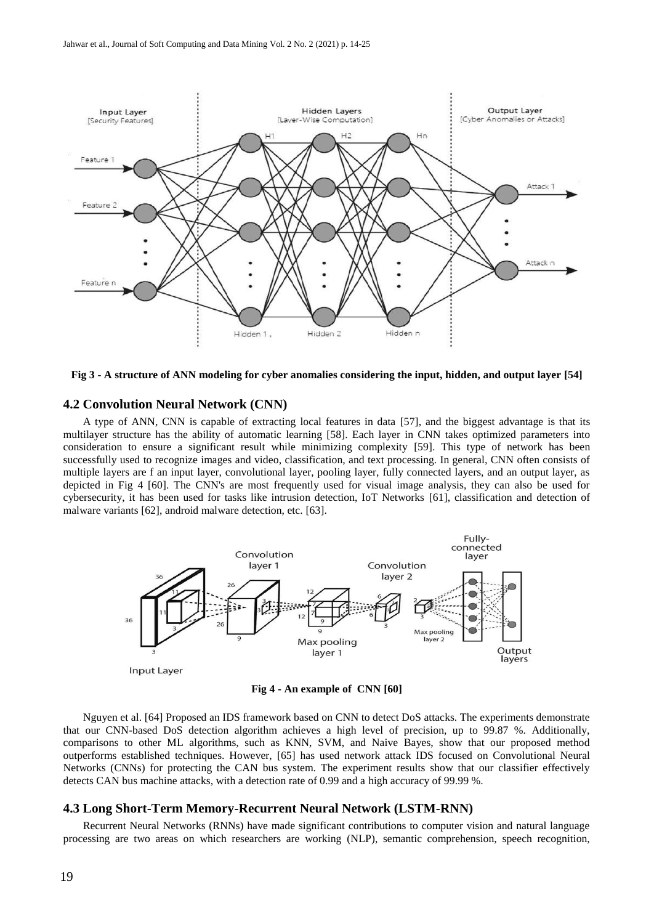



# **4.2 Convolution Neural Network (CNN)**

A type of ANN, CNN is capable of extracting local features in data [57], and the biggest advantage is that its multilayer structure has the ability of automatic learning [58]. Each layer in CNN takes optimized parameters into consideration to ensure a significant result while minimizing complexity [59]. This type of network has been successfully used to recognize images and video, classification, and text processing. In general, CNN often consists of multiple layers are f an input layer, convolutional layer, pooling layer, fully connected layers, and an output layer, as depicted in Fig 4 [60]. The CNN's are most frequently used for visual image analysis, they can also be used for cybersecurity, it has been used for tasks like intrusion detection, IoT Networks [61], classification and detection of malware variants [62], android malware detection, etc. [63].



**Fig 4 - An example of CNN [60]**

Nguyen et al. [64] Proposed an IDS framework based on CNN to detect DoS attacks. The experiments demonstrate that our CNN-based DoS detection algorithm achieves a high level of precision, up to 99.87 %. Additionally, comparisons to other ML algorithms, such as KNN, SVM, and Naive Bayes, show that our proposed method outperforms established techniques. However, [65] has used network attack IDS focused on Convolutional Neural Networks (CNNs) for protecting the CAN bus system. The experiment results show that our classifier effectively detects CAN bus machine attacks, with a detection rate of 0.99 and a high accuracy of 99.99 %.

#### **4.3 Long Short-Term Memory-Recurrent Neural Network (LSTM-RNN)**

Recurrent Neural Networks (RNNs) have made significant contributions to computer vision and natural language processing are two areas on which researchers are working (NLP), semantic comprehension, speech recognition,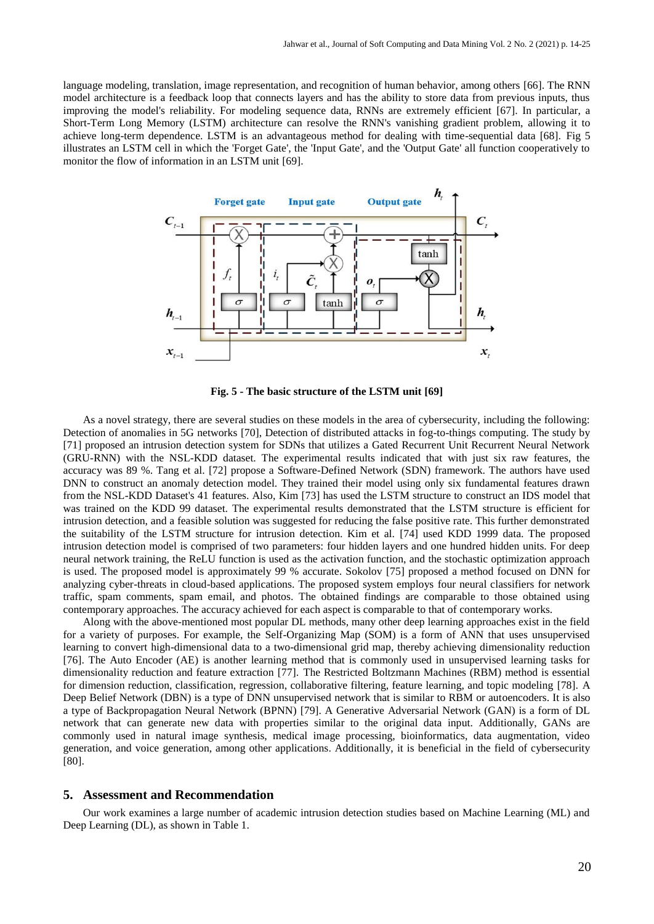language modeling, translation, image representation, and recognition of human behavior, among others [66]. The RNN model architecture is a feedback loop that connects layers and has the ability to store data from previous inputs, thus improving the model's reliability. For modeling sequence data, RNNs are extremely efficient [67]. In particular, a Short-Term Long Memory (LSTM) architecture can resolve the RNN's vanishing gradient problem, allowing it to achieve long-term dependence. LSTM is an advantageous method for dealing with time-sequential data [68]. Fig 5 illustrates an LSTM cell in which the 'Forget Gate', the 'Input Gate', and the 'Output Gate' all function cooperatively to monitor the flow of information in an LSTM unit [69].



**Fig. 5 - The basic structure of the LSTM unit [69]**

As a novel strategy, there are several studies on these models in the area of cybersecurity, including the following: Detection of anomalies in 5G networks [70], Detection of distributed attacks in fog-to-things computing. The study by [71] proposed an intrusion detection system for SDNs that utilizes a Gated Recurrent Unit Recurrent Neural Network (GRU-RNN) with the NSL-KDD dataset. The experimental results indicated that with just six raw features, the accuracy was 89 %. Tang et al. [72] propose a Software-Defined Network (SDN) framework. The authors have used DNN to construct an anomaly detection model. They trained their model using only six fundamental features drawn from the NSL-KDD Dataset's 41 features. Also, Kim [73] has used the LSTM structure to construct an IDS model that was trained on the KDD 99 dataset. The experimental results demonstrated that the LSTM structure is efficient for intrusion detection, and a feasible solution was suggested for reducing the false positive rate. This further demonstrated the suitability of the LSTM structure for intrusion detection. Kim et al. [74] used KDD 1999 data. The proposed intrusion detection model is comprised of two parameters: four hidden layers and one hundred hidden units. For deep neural network training, the ReLU function is used as the activation function, and the stochastic optimization approach is used. The proposed model is approximately 99 % accurate. Sokolov [75] proposed a method focused on DNN for analyzing cyber-threats in cloud-based applications. The proposed system employs four neural classifiers for network traffic, spam comments, spam email, and photos. The obtained findings are comparable to those obtained using contemporary approaches. The accuracy achieved for each aspect is comparable to that of contemporary works.

Along with the above-mentioned most popular DL methods, many other deep learning approaches exist in the field for a variety of purposes. For example, the Self-Organizing Map (SOM) is a form of ANN that uses unsupervised learning to convert high-dimensional data to a two-dimensional grid map, thereby achieving dimensionality reduction [76]. The Auto Encoder (AE) is another learning method that is commonly used in unsupervised learning tasks for dimensionality reduction and feature extraction [77]. The Restricted Boltzmann Machines (RBM) method is essential for dimension reduction, classification, regression, collaborative filtering, feature learning, and topic modeling [78]. A Deep Belief Network (DBN) is a type of DNN unsupervised network that is similar to RBM or autoencoders. It is also a type of Backpropagation Neural Network (BPNN) [79]. A Generative Adversarial Network (GAN) is a form of DL network that can generate new data with properties similar to the original data input. Additionally, GANs are commonly used in natural image synthesis, medical image processing, bioinformatics, data augmentation, video generation, and voice generation, among other applications. Additionally, it is beneficial in the field of cybersecurity [80].

# **5. Assessment and Recommendation**

Our work examines a large number of academic intrusion detection studies based on Machine Learning (ML) and Deep Learning (DL), as shown in Table 1.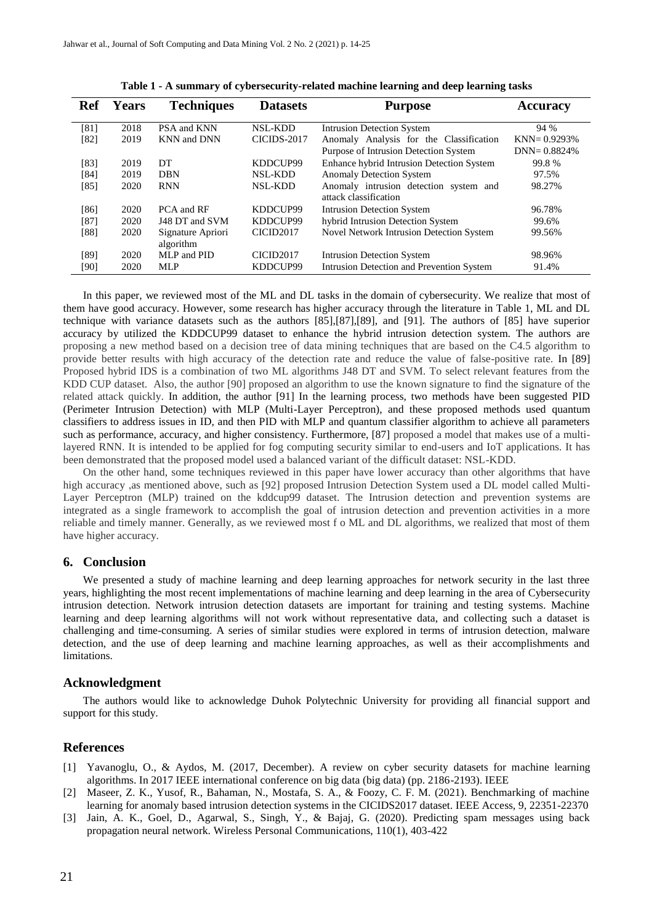| Ref    | <b>Years</b> | <b>Techniques</b>  | <b>Datasets</b>    | <b>Purpose</b>                                  | <b>Accuracy</b> |
|--------|--------------|--------------------|--------------------|-------------------------------------------------|-----------------|
| [81]   | 2018         | PSA and KNN        | <b>NSL-KDD</b>     | <b>Intrusion Detection System</b>               | 94 %            |
| [82]   | 2019         | <b>KNN</b> and DNN | <b>CICIDS-2017</b> | Anomaly Analysis for the Classification         | $KNN = 0.9293%$ |
|        |              |                    |                    | Purpose of Intrusion Detection System           | $DNN = 0.8824%$ |
| $[83]$ | 2019         | DT                 | KDDCUP99           | Enhance hybrid Intrusion Detection System       | 99.8%           |
| [84]   | 2019         | <b>DBN</b>         | <b>NSL-KDD</b>     | <b>Anomaly Detection System</b>                 | 97.5%           |
| [85]   | 2020         | <b>RNN</b>         | NSL-KDD            | Anomaly intrusion detection system and          | 98.27%          |
|        |              |                    |                    | attack classification                           |                 |
| [86]   | 2020         | PCA and RF         | KDDCUP99           | <b>Intrusion Detection System</b>               | 96.78%          |
| [87]   | 2020         | J48 DT and SVM     | KDDCUP99           | hybrid Intrusion Detection System               | 99.6%           |
| [88]   | 2020         | Signature Apriori  | <b>CICID2017</b>   | <b>Novel Network Intrusion Detection System</b> | 99.56%          |
|        |              | algorithm          |                    |                                                 |                 |
| [89]   | 2020         | MLP and PID        | CICID2017          | <b>Intrusion Detection System</b>               | 98.96%          |
| [90]   | 2020         | <b>MLP</b>         | KDDCUP99           | Intrusion Detection and Prevention System       | 91.4%           |

**Table 1 - A summary of cybersecurity-related machine learning and deep learning tasks**

In this paper, we reviewed most of the ML and DL tasks in the domain of cybersecurity. We realize that most of them have good accuracy. However, some research has higher accuracy through the literature in Table 1, ML and DL technique with variance datasets such as the authors [85],[87],[89], and [91]. The authors of [85] have superior accuracy by utilized the KDDCUP99 dataset to enhance the hybrid intrusion detection system. The authors are proposing a new method based on a decision tree of data mining techniques that are based on the C4.5 algorithm to provide better results with high accuracy of the detection rate and reduce the value of false-positive rate. In [89] Proposed hybrid IDS is a combination of two ML algorithms J48 DT and SVM. To select relevant features from the KDD CUP dataset. Also, the author [90] proposed an algorithm to use the known signature to find the signature of the related attack quickly. In addition, the author [91] In the learning process, two methods have been suggested PID (Perimeter Intrusion Detection) with MLP (Multi-Layer Perceptron), and these proposed methods used quantum classifiers to address issues in ID, and then PID with MLP and quantum classifier algorithm to achieve all parameters such as performance, accuracy, and higher consistency. Furthermore, [87] proposed a model that makes use of a multilayered RNN. It is intended to be applied for fog computing security similar to end-users and IoT applications. It has been demonstrated that the proposed model used a balanced variant of the difficult dataset: NSL-KDD.

On the other hand, some techniques reviewed in this paper have lower accuracy than other algorithms that have high accuracy ,as mentioned above, such as [92] proposed Intrusion Detection System used a DL model called Multi-Layer Perceptron (MLP) trained on the kddcup99 dataset. The Intrusion detection and prevention systems are integrated as a single framework to accomplish the goal of intrusion detection and prevention activities in a more reliable and timely manner. Generally, as we reviewed most f o ML and DL algorithms, we realized that most of them have higher accuracy.

#### **6. Conclusion**

We presented a study of machine learning and deep learning approaches for network security in the last three years, highlighting the most recent implementations of machine learning and deep learning in the area of Cybersecurity intrusion detection. Network intrusion detection datasets are important for training and testing systems. Machine learning and deep learning algorithms will not work without representative data, and collecting such a dataset is challenging and time-consuming. A series of similar studies were explored in terms of intrusion detection, malware detection, and the use of deep learning and machine learning approaches, as well as their accomplishments and limitations.

#### **Acknowledgment**

The authors would like to acknowledge Duhok Polytechnic University for providing all financial support and support for this study.

## **References**

- [1] Yavanoglu, O., & Aydos, M. (2017, December). A review on cyber security datasets for machine learning algorithms. In 2017 IEEE international conference on big data (big data) (pp. 2186-2193). IEEE
- [2] Maseer, Z. K., Yusof, R., Bahaman, N., Mostafa, S. A., & Foozy, C. F. M. (2021). Benchmarking of machine learning for anomaly based intrusion detection systems in the CICIDS2017 dataset. IEEE Access, 9, 22351-22370
- [3] Jain, A. K., Goel, D., Agarwal, S., Singh, Y., & Bajaj, G. (2020). Predicting spam messages using back propagation neural network. Wireless Personal Communications, 110(1), 403-422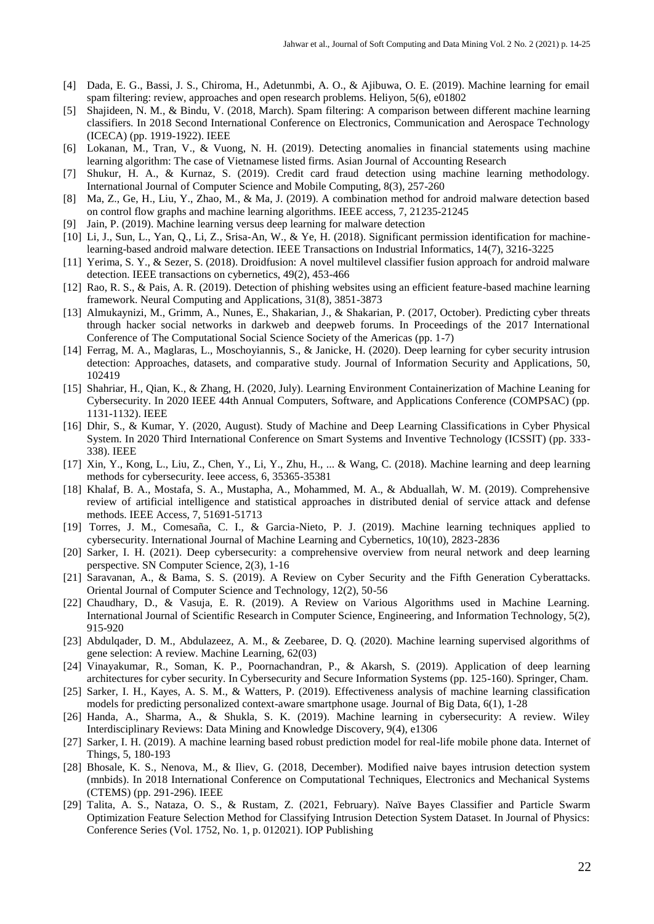- [4] Dada, E. G., Bassi, J. S., Chiroma, H., Adetunmbi, A. O., & Ajibuwa, O. E. (2019). Machine learning for email spam filtering: review, approaches and open research problems. Heliyon, 5(6), e01802
- [5] Shajideen, N. M., & Bindu, V. (2018, March). Spam filtering: A comparison between different machine learning classifiers. In 2018 Second International Conference on Electronics, Communication and Aerospace Technology (ICECA) (pp. 1919-1922). IEEE
- [6] Lokanan, M., Tran, V., & Vuong, N. H. (2019). Detecting anomalies in financial statements using machine learning algorithm: The case of Vietnamese listed firms. Asian Journal of Accounting Research
- [7] Shukur, H. A., & Kurnaz, S. (2019). Credit card fraud detection using machine learning methodology. International Journal of Computer Science and Mobile Computing, 8(3), 257-260
- [8] Ma, Z., Ge, H., Liu, Y., Zhao, M., & Ma, J. (2019). A combination method for android malware detection based on control flow graphs and machine learning algorithms. IEEE access, 7, 21235-21245
- [9] Jain, P. (2019). Machine learning versus deep learning for malware detection
- [10] Li, J., Sun, L., Yan, Q., Li, Z., Srisa-An, W., & Ye, H. (2018). Significant permission identification for machinelearning-based android malware detection. IEEE Transactions on Industrial Informatics, 14(7), 3216-3225
- [11] Yerima, S. Y., & Sezer, S. (2018). Droidfusion: A novel multilevel classifier fusion approach for android malware detection. IEEE transactions on cybernetics, 49(2), 453-466
- [12] Rao, R. S., & Pais, A. R. (2019). Detection of phishing websites using an efficient feature-based machine learning framework. Neural Computing and Applications, 31(8), 3851-3873
- [13] Almukaynizi, M., Grimm, A., Nunes, E., Shakarian, J., & Shakarian, P. (2017, October). Predicting cyber threats through hacker social networks in darkweb and deepweb forums. In Proceedings of the 2017 International Conference of The Computational Social Science Society of the Americas (pp. 1-7)
- [14] Ferrag, M. A., Maglaras, L., Moschoyiannis, S., & Janicke, H. (2020). Deep learning for cyber security intrusion detection: Approaches, datasets, and comparative study. Journal of Information Security and Applications, 50, 102419
- [15] Shahriar, H., Qian, K., & Zhang, H. (2020, July). Learning Environment Containerization of Machine Leaning for Cybersecurity. In 2020 IEEE 44th Annual Computers, Software, and Applications Conference (COMPSAC) (pp. 1131-1132). IEEE
- [16] Dhir, S., & Kumar, Y. (2020, August). Study of Machine and Deep Learning Classifications in Cyber Physical System. In 2020 Third International Conference on Smart Systems and Inventive Technology (ICSSIT) (pp. 333- 338). IEEE
- [17] Xin, Y., Kong, L., Liu, Z., Chen, Y., Li, Y., Zhu, H., ... & Wang, C. (2018). Machine learning and deep learning methods for cybersecurity. Ieee access, 6, 35365-35381
- [18] Khalaf, B. A., Mostafa, S. A., Mustapha, A., Mohammed, M. A., & Abduallah, W. M. (2019). Comprehensive review of artificial intelligence and statistical approaches in distributed denial of service attack and defense methods. IEEE Access, 7, 51691-51713
- [19] Torres, J. M., Comesaña, C. I., & Garcia-Nieto, P. J. (2019). Machine learning techniques applied to cybersecurity. International Journal of Machine Learning and Cybernetics, 10(10), 2823-2836
- [20] Sarker, I. H. (2021). Deep cybersecurity: a comprehensive overview from neural network and deep learning perspective. SN Computer Science, 2(3), 1-16
- [21] Saravanan, A., & Bama, S. S. (2019). A Review on Cyber Security and the Fifth Generation Cyberattacks. Oriental Journal of Computer Science and Technology, 12(2), 50-56
- [22] Chaudhary, D., & Vasuja, E. R. (2019). A Review on Various Algorithms used in Machine Learning. International Journal of Scientific Research in Computer Science, Engineering, and Information Technology, 5(2), 915-920
- [23] Abdulqader, D. M., Abdulazeez, A. M., & Zeebaree, D. Q. (2020). Machine learning supervised algorithms of gene selection: A review. Machine Learning, 62(03)
- [24] Vinayakumar, R., Soman, K. P., Poornachandran, P., & Akarsh, S. (2019). Application of deep learning architectures for cyber security. In Cybersecurity and Secure Information Systems (pp. 125-160). Springer, Cham.
- [25] Sarker, I. H., Kayes, A. S. M., & Watters, P. (2019). Effectiveness analysis of machine learning classification models for predicting personalized context-aware smartphone usage. Journal of Big Data, 6(1), 1-28
- [26] Handa, A., Sharma, A., & Shukla, S. K. (2019). Machine learning in cybersecurity: A review. Wiley Interdisciplinary Reviews: Data Mining and Knowledge Discovery, 9(4), e1306
- [27] Sarker, I. H. (2019). A machine learning based robust prediction model for real-life mobile phone data. Internet of Things, 5, 180-193
- [28] Bhosale, K. S., Nenova, M., & Iliev, G. (2018, December). Modified naive bayes intrusion detection system (mnbids). In 2018 International Conference on Computational Techniques, Electronics and Mechanical Systems (CTEMS) (pp. 291-296). IEEE
- [29] Talita, A. S., Nataza, O. S., & Rustam, Z. (2021, February). Naïve Bayes Classifier and Particle Swarm Optimization Feature Selection Method for Classifying Intrusion Detection System Dataset. In Journal of Physics: Conference Series (Vol. 1752, No. 1, p. 012021). IOP Publishing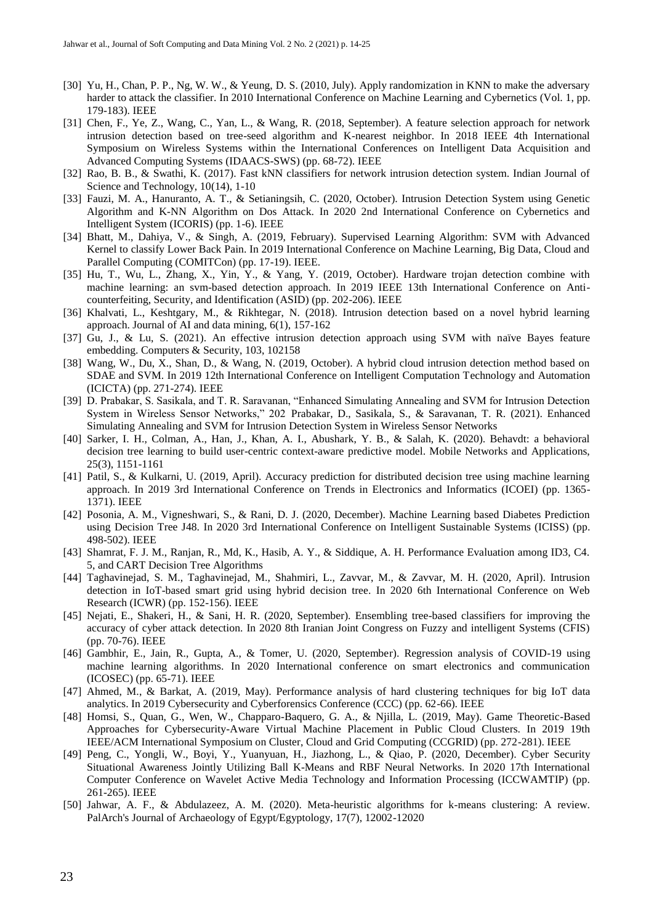- [30] Yu, H., Chan, P. P., Ng, W. W., & Yeung, D. S. (2010, July). Apply randomization in KNN to make the adversary harder to attack the classifier. In 2010 International Conference on Machine Learning and Cybernetics (Vol. 1, pp. 179-183). IEEE
- [31] Chen, F., Ye, Z., Wang, C., Yan, L., & Wang, R. (2018, September). A feature selection approach for network intrusion detection based on tree-seed algorithm and K-nearest neighbor. In 2018 IEEE 4th International Symposium on Wireless Systems within the International Conferences on Intelligent Data Acquisition and Advanced Computing Systems (IDAACS-SWS) (pp. 68-72). IEEE
- [32] Rao, B. B., & Swathi, K. (2017). Fast kNN classifiers for network intrusion detection system. Indian Journal of Science and Technology, 10(14), 1-10
- [33] Fauzi, M. A., Hanuranto, A. T., & Setianingsih, C. (2020, October). Intrusion Detection System using Genetic Algorithm and K-NN Algorithm on Dos Attack. In 2020 2nd International Conference on Cybernetics and Intelligent System (ICORIS) (pp. 1-6). IEEE
- [34] Bhatt, M., Dahiya, V., & Singh, A. (2019, February). Supervised Learning Algorithm: SVM with Advanced Kernel to classify Lower Back Pain. In 2019 International Conference on Machine Learning, Big Data, Cloud and Parallel Computing (COMITCon) (pp. 17-19). IEEE.
- [35] Hu, T., Wu, L., Zhang, X., Yin, Y., & Yang, Y. (2019, October). Hardware trojan detection combine with machine learning: an svm-based detection approach. In 2019 IEEE 13th International Conference on Anticounterfeiting, Security, and Identification (ASID) (pp. 202-206). IEEE
- [36] Khalvati, L., Keshtgary, M., & Rikhtegar, N. (2018). Intrusion detection based on a novel hybrid learning approach. Journal of AI and data mining, 6(1), 157-162
- [37] Gu, J., & Lu, S. (2021). An effective intrusion detection approach using SVM with naïve Bayes feature embedding. Computers & Security, 103, 102158
- [38] Wang, W., Du, X., Shan, D., & Wang, N. (2019, October). A hybrid cloud intrusion detection method based on SDAE and SVM. In 2019 12th International Conference on Intelligent Computation Technology and Automation (ICICTA) (pp. 271-274). IEEE
- [39] D. Prabakar, S. Sasikala, and T. R. Saravanan, "Enhanced Simulating Annealing and SVM for Intrusion Detection System in Wireless Sensor Networks," 202 Prabakar, D., Sasikala, S., & Saravanan, T. R. (2021). Enhanced Simulating Annealing and SVM for Intrusion Detection System in Wireless Sensor Networks
- [40] Sarker, I. H., Colman, A., Han, J., Khan, A. I., Abushark, Y. B., & Salah, K. (2020). Behavdt: a behavioral decision tree learning to build user-centric context-aware predictive model. Mobile Networks and Applications, 25(3), 1151-1161
- [41] Patil, S., & Kulkarni, U. (2019, April). Accuracy prediction for distributed decision tree using machine learning approach. In 2019 3rd International Conference on Trends in Electronics and Informatics (ICOEI) (pp. 1365- 1371). IEEE
- [42] Posonia, A. M., Vigneshwari, S., & Rani, D. J. (2020, December). Machine Learning based Diabetes Prediction using Decision Tree J48. In 2020 3rd International Conference on Intelligent Sustainable Systems (ICISS) (pp. 498-502). IEEE
- [43] Shamrat, F. J. M., Ranjan, R., Md, K., Hasib, A. Y., & Siddique, A. H. Performance Evaluation among ID3, C4. 5, and CART Decision Tree Algorithms
- [44] Taghavinejad, S. M., Taghavinejad, M., Shahmiri, L., Zavvar, M., & Zavvar, M. H. (2020, April). Intrusion detection in IoT-based smart grid using hybrid decision tree. In 2020 6th International Conference on Web Research (ICWR) (pp. 152-156). IEEE
- [45] Nejati, E., Shakeri, H., & Sani, H. R. (2020, September). Ensembling tree-based classifiers for improving the accuracy of cyber attack detection. In 2020 8th Iranian Joint Congress on Fuzzy and intelligent Systems (CFIS) (pp. 70-76). IEEE
- [46] Gambhir, E., Jain, R., Gupta, A., & Tomer, U. (2020, September). Regression analysis of COVID-19 using machine learning algorithms. In 2020 International conference on smart electronics and communication (ICOSEC) (pp. 65-71). IEEE
- [47] Ahmed, M., & Barkat, A. (2019, May). Performance analysis of hard clustering techniques for big IoT data analytics. In 2019 Cybersecurity and Cyberforensics Conference (CCC) (pp. 62-66). IEEE
- [48] Homsi, S., Quan, G., Wen, W., Chapparo-Baquero, G. A., & Njilla, L. (2019, May). Game Theoretic-Based Approaches for Cybersecurity-Aware Virtual Machine Placement in Public Cloud Clusters. In 2019 19th IEEE/ACM International Symposium on Cluster, Cloud and Grid Computing (CCGRID) (pp. 272-281). IEEE
- [49] Peng, C., Yongli, W., Boyi, Y., Yuanyuan, H., Jiazhong, L., & Qiao, P. (2020, December). Cyber Security Situational Awareness Jointly Utilizing Ball K-Means and RBF Neural Networks. In 2020 17th International Computer Conference on Wavelet Active Media Technology and Information Processing (ICCWAMTIP) (pp. 261-265). IEEE
- [50] Jahwar, A. F., & Abdulazeez, A. M. (2020). Meta-heuristic algorithms for k-means clustering: A review. PalArch's Journal of Archaeology of Egypt/Egyptology, 17(7), 12002-12020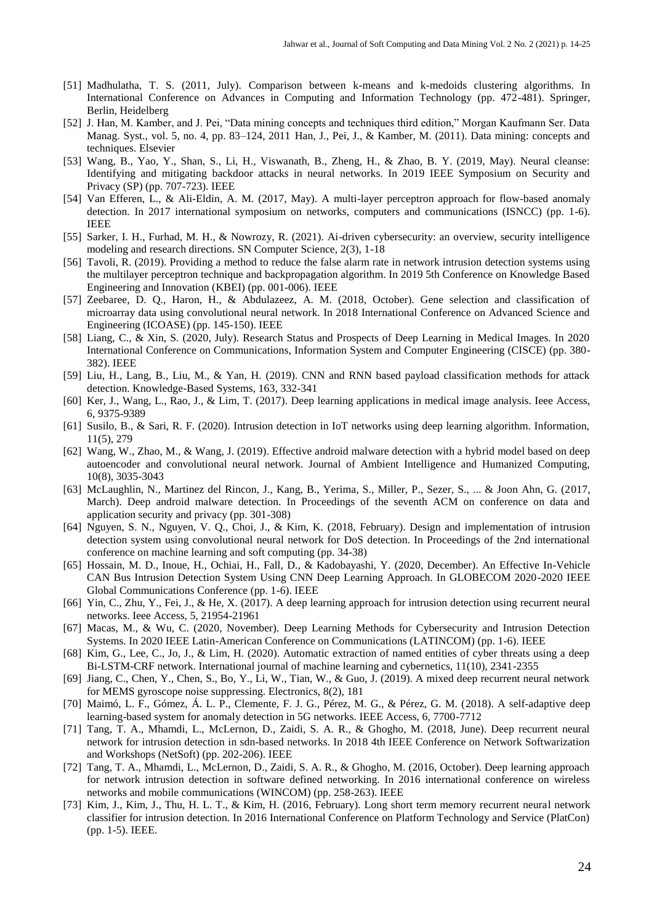- [51] Madhulatha, T. S. (2011, July). Comparison between k-means and k-medoids clustering algorithms. In International Conference on Advances in Computing and Information Technology (pp. 472-481). Springer, Berlin, Heidelberg
- [52] J. Han, M. Kamber, and J. Pei, "Data mining concepts and techniques third edition," Morgan Kaufmann Ser. Data Manag. Syst., vol. 5, no. 4, pp. 83–124, 2011 Han, J., Pei, J., & Kamber, M. (2011). Data mining: concepts and techniques. Elsevier
- [53] Wang, B., Yao, Y., Shan, S., Li, H., Viswanath, B., Zheng, H., & Zhao, B. Y. (2019, May). Neural cleanse: Identifying and mitigating backdoor attacks in neural networks. In 2019 IEEE Symposium on Security and Privacy (SP) (pp. 707-723). IEEE
- [54] Van Efferen, L., & Ali-Eldin, A. M. (2017, May). A multi-layer perceptron approach for flow-based anomaly detection. In 2017 international symposium on networks, computers and communications (ISNCC) (pp. 1-6). IEEE
- [55] Sarker, I. H., Furhad, M. H., & Nowrozy, R. (2021). Ai-driven cybersecurity: an overview, security intelligence modeling and research directions. SN Computer Science, 2(3), 1-18
- [56] Tavoli, R. (2019). Providing a method to reduce the false alarm rate in network intrusion detection systems using the multilayer perceptron technique and backpropagation algorithm. In 2019 5th Conference on Knowledge Based Engineering and Innovation (KBEI) (pp. 001-006). IEEE
- [57] Zeebaree, D. Q., Haron, H., & Abdulazeez, A. M. (2018, October). Gene selection and classification of microarray data using convolutional neural network. In 2018 International Conference on Advanced Science and Engineering (ICOASE) (pp. 145-150). IEEE
- [58] Liang, C., & Xin, S. (2020, July). Research Status and Prospects of Deep Learning in Medical Images. In 2020 International Conference on Communications, Information System and Computer Engineering (CISCE) (pp. 380- 382). IEEE
- [59] Liu, H., Lang, B., Liu, M., & Yan, H. (2019). CNN and RNN based payload classification methods for attack detection. Knowledge-Based Systems, 163, 332-341
- [60] Ker, J., Wang, L., Rao, J., & Lim, T. (2017). Deep learning applications in medical image analysis. Ieee Access, 6, 9375-9389
- [61] Susilo, B., & Sari, R. F. (2020). Intrusion detection in IoT networks using deep learning algorithm. Information, 11(5), 279
- [62] Wang, W., Zhao, M., & Wang, J. (2019). Effective android malware detection with a hybrid model based on deep autoencoder and convolutional neural network. Journal of Ambient Intelligence and Humanized Computing, 10(8), 3035-3043
- [63] McLaughlin, N., Martinez del Rincon, J., Kang, B., Yerima, S., Miller, P., Sezer, S., ... & Joon Ahn, G. (2017, March). Deep android malware detection. In Proceedings of the seventh ACM on conference on data and application security and privacy (pp. 301-308)
- [64] Nguyen, S. N., Nguyen, V. Q., Choi, J., & Kim, K. (2018, February). Design and implementation of intrusion detection system using convolutional neural network for DoS detection. In Proceedings of the 2nd international conference on machine learning and soft computing (pp. 34-38)
- [65] Hossain, M. D., Inoue, H., Ochiai, H., Fall, D., & Kadobayashi, Y. (2020, December). An Effective In-Vehicle CAN Bus Intrusion Detection System Using CNN Deep Learning Approach. In GLOBECOM 2020-2020 IEEE Global Communications Conference (pp. 1-6). IEEE
- [66] Yin, C., Zhu, Y., Fei, J., & He, X. (2017). A deep learning approach for intrusion detection using recurrent neural networks. Ieee Access, 5, 21954-21961
- [67] Macas, M., & Wu, C. (2020, November). Deep Learning Methods for Cybersecurity and Intrusion Detection Systems. In 2020 IEEE Latin-American Conference on Communications (LATINCOM) (pp. 1-6). IEEE
- [68] Kim, G., Lee, C., Jo, J., & Lim, H. (2020). Automatic extraction of named entities of cyber threats using a deep Bi-LSTM-CRF network. International journal of machine learning and cybernetics, 11(10), 2341-2355
- [69] Jiang, C., Chen, Y., Chen, S., Bo, Y., Li, W., Tian, W., & Guo, J. (2019). A mixed deep recurrent neural network for MEMS gyroscope noise suppressing. Electronics, 8(2), 181
- [70] Maimó, L. F., Gómez, Á. L. P., Clemente, F. J. G., Pérez, M. G., & Pérez, G. M. (2018). A self-adaptive deep learning-based system for anomaly detection in 5G networks. IEEE Access, 6, 7700-7712
- [71] Tang, T. A., Mhamdi, L., McLernon, D., Zaidi, S. A. R., & Ghogho, M. (2018, June). Deep recurrent neural network for intrusion detection in sdn-based networks. In 2018 4th IEEE Conference on Network Softwarization and Workshops (NetSoft) (pp. 202-206). IEEE
- [72] Tang, T. A., Mhamdi, L., McLernon, D., Zaidi, S. A. R., & Ghogho, M. (2016, October). Deep learning approach for network intrusion detection in software defined networking. In 2016 international conference on wireless networks and mobile communications (WINCOM) (pp. 258-263). IEEE
- [73] Kim, J., Kim, J., Thu, H. L. T., & Kim, H. (2016, February). Long short term memory recurrent neural network classifier for intrusion detection. In 2016 International Conference on Platform Technology and Service (PlatCon) (pp. 1-5). IEEE.